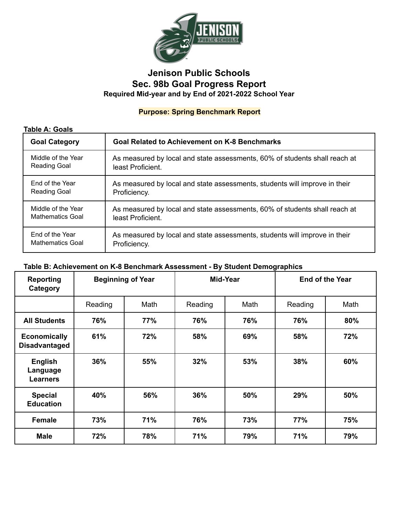

# **Jenison Public Schools Sec. 98b Goal Progress Report Required Mid-year and by End of 2021-2022 School Year**

## **Purpose: Spring Benchmark Report**

#### **Table A: Goals**

| <b>Goal Category</b>    | <b>Goal Related to Achievement on K-8 Benchmarks</b>                       |
|-------------------------|----------------------------------------------------------------------------|
| Middle of the Year      | As measured by local and state assessments, 60% of students shall reach at |
| <b>Reading Goal</b>     | least Proficient.                                                          |
| End of the Year         | As measured by local and state assessments, students will improve in their |
| <b>Reading Goal</b>     | Proficiency.                                                               |
| Middle of the Year      | As measured by local and state assessments, 60% of students shall reach at |
| <b>Mathematics Goal</b> | least Proficient.                                                          |
| End of the Year         | As measured by local and state assessments, students will improve in their |
| <b>Mathematics Goal</b> | Proficiency.                                                               |

### **Table B: Achievement on K-8 Benchmark Assessment - By Student Demographics**

| <b>Reporting</b><br>Category                  | <b>Beginning of Year</b> |      | Mid-Year |      | <b>End of the Year</b> |      |
|-----------------------------------------------|--------------------------|------|----------|------|------------------------|------|
|                                               | Reading                  | Math | Reading  | Math | Reading                | Math |
| <b>All Students</b>                           | 76%                      | 77%  | 76%      | 76%  | 76%                    | 80%  |
| <b>Economically</b><br><b>Disadvantaged</b>   | 61%                      | 72%  | 58%      | 69%  | 58%                    | 72%  |
| <b>English</b><br>Language<br><b>Learners</b> | 36%                      | 55%  | 32%      | 53%  | 38%                    | 60%  |
| <b>Special</b><br><b>Education</b>            | 40%                      | 56%  | 36%      | 50%  | 29%                    | 50%  |
| <b>Female</b>                                 | 73%                      | 71%  | 76%      | 73%  | 77%                    | 75%  |
| <b>Male</b>                                   | 72%                      | 78%  | 71%      | 79%  | 71%                    | 79%  |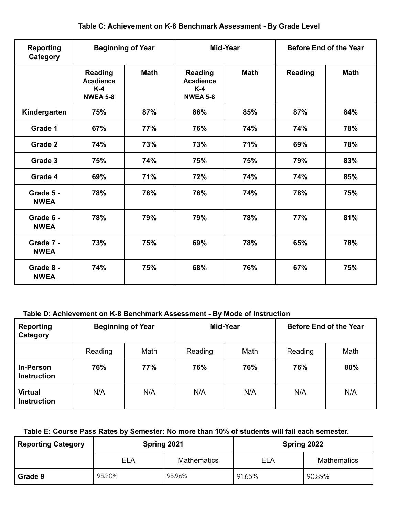|  | Table C: Achievement on K-8 Benchmark Assessment - By Grade Level |  |
|--|-------------------------------------------------------------------|--|
|--|-------------------------------------------------------------------|--|

| <b>Reporting</b><br>Category | <b>Beginning of Year</b>                                       |             | Mid-Year                                                       |             | <b>Before End of the Year</b> |             |
|------------------------------|----------------------------------------------------------------|-------------|----------------------------------------------------------------|-------------|-------------------------------|-------------|
|                              | <b>Reading</b><br><b>Acadience</b><br>$K-4$<br><b>NWEA 5-8</b> | <b>Math</b> | <b>Reading</b><br><b>Acadience</b><br>$K-4$<br><b>NWEA 5-8</b> | <b>Math</b> | <b>Reading</b>                | <b>Math</b> |
| Kindergarten                 | 75%                                                            | 87%         | 86%                                                            | 85%         | 87%                           | 84%         |
| Grade 1                      | 67%                                                            | 77%         | 76%                                                            | 74%         | 74%                           | 78%         |
| Grade 2                      | 74%                                                            | 73%         | 73%                                                            | 71%         | 69%                           | 78%         |
| Grade 3                      | 75%                                                            | 74%         | 75%                                                            | 75%         | 79%                           | 83%         |
| Grade 4                      | 69%                                                            | 71%         | 72%                                                            | 74%         | 74%                           | 85%         |
| Grade 5 -<br><b>NWEA</b>     | 78%                                                            | 76%         | 76%                                                            | 74%         | 78%                           | 75%         |
| Grade 6 -<br><b>NWEA</b>     | 78%                                                            | 79%         | 79%                                                            | 78%         | 77%                           | 81%         |
| Grade 7 -<br><b>NWEA</b>     | 73%                                                            | 75%         | 69%                                                            | 78%         | 65%                           | 78%         |
| Grade 8 -<br><b>NWEA</b>     | 74%                                                            | 75%         | 68%                                                            | 76%         | 67%                           | 75%         |

### **Table D: Achievement on K-8 Benchmark Assessment - By Mode of Instruction**

| Reporting<br>Category                  | <b>Beginning of Year</b> |      | Mid-Year |      | <b>Before End of the Year</b> |      |
|----------------------------------------|--------------------------|------|----------|------|-------------------------------|------|
|                                        | Reading                  | Math | Reading  | Math | Reading                       | Math |
| <b>In-Person</b><br><b>Instruction</b> | 76%                      | 77%  | 76%      | 76%  | 76%                           | 80%  |
| <b>Virtual</b><br><b>Instruction</b>   | N/A                      | N/A  | N/A      | N/A  | N/A                           | N/A  |

### **Table E: Course Pass Rates by Semester: No more than 10% of students will fail each semester.**

| <b>Reporting Category</b> | Spring 2021 |                    | Spring 2022 |                    |  |
|---------------------------|-------------|--------------------|-------------|--------------------|--|
|                           | <b>ELA</b>  | <b>Mathematics</b> | <b>ELA</b>  | <b>Mathematics</b> |  |
| Grade 9                   | 95.20%      | 95.96%             | 91.65%      | 90.89%             |  |